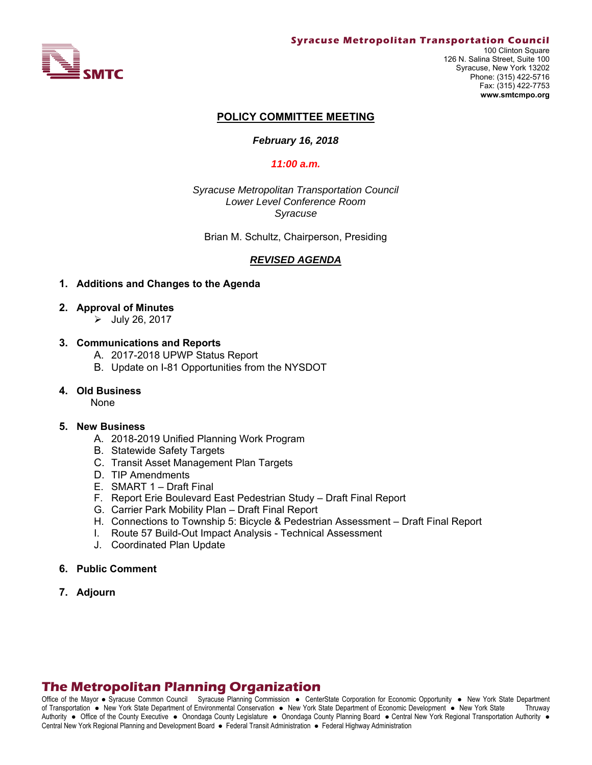

#### **Syracuse Metropolitan Transportation Council**

100 Clinton Square 126 N. Salina Street, Suite 100 Syracuse, New York 13202 Phone: (315) 422-5716 Fax: (315) 422-7753 **www.smtcmpo.org**

#### **POLICY COMMITTEE MEETING**

#### *February 16, 2018*

#### *11:00 a.m.*

*Syracuse Metropolitan Transportation Council Lower Level Conference Room Syracuse* 

Brian M. Schultz, Chairperson, Presiding

## *REVISED AGENDA*

#### **1. Additions and Changes to the Agenda**

- **2. Approval of Minutes** 
	- $\triangleright$  July 26, 2017

#### **3. Communications and Reports**

- A. 2017-2018 UPWP Status Report
- B. Update on I-81 Opportunities from the NYSDOT

#### **4. Old Business**

None

#### **5. New Business**

- A. 2018-2019 Unified Planning Work Program
- B. Statewide Safety Targets
- C. Transit Asset Management Plan Targets
- D. TIP Amendments
- E. SMART 1 Draft Final
- F. Report Erie Boulevard East Pedestrian Study Draft Final Report
- G. Carrier Park Mobility Plan Draft Final Report
- H. Connections to Township 5: Bicycle & Pedestrian Assessment Draft Final Report
- I. Route 57 Build-Out Impact Analysis Technical Assessment
- J. Coordinated Plan Update
- **6. Public Comment**
- **7. Adjourn**

# **The Metropolitan Planning Organization**

Office of the Mayor • Syracuse Common Council Syracuse Planning Commission • CenterState Corporation for Economic Opportunity • New York State Department of Transportation New York State Department of Environmental Conservation New York State Department of Economic Development New York State Thruway Authority . Office of the County Executive . Onondaga County Legislature . Onondaga County Planning Board . Central New York Regional Transportation Authority . Central New York Regional Planning and Development Board · Federal Transit Administration · Federal Highway Administration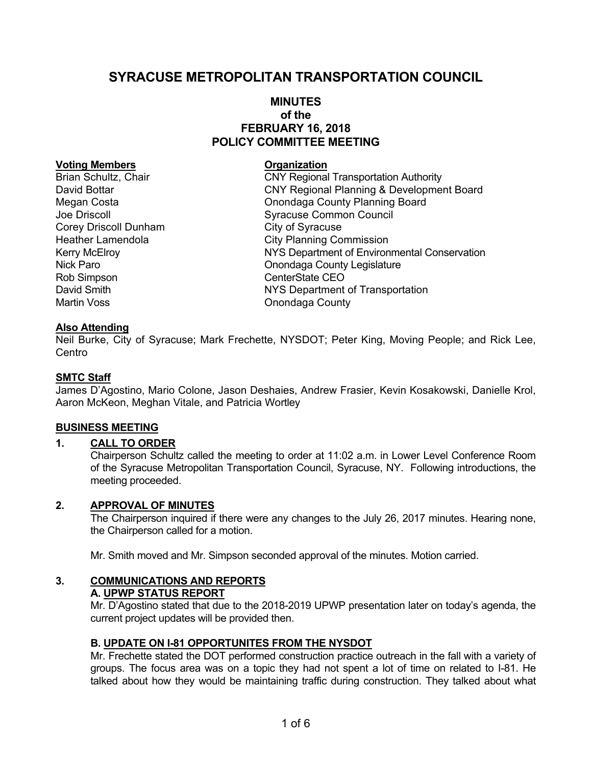# **SYRACUSE METROPOLITAN TRANSPORTATION COUNCIL**

# **MINUTES of the FEBRUARY 16, 2018 POLICY COMMITTEE MEETING**

#### **Voting Members Construction Construction Construction**

Corey Driscoll Dunham City of Syracuse Rob Simpson CenterState CEO Martin Voss **Martin Voss County** Onondaga County

Brian Schultz, Chair **COVI COVI Regional Transportation Authority** David Bottar CNY Regional Planning & Development Board Megan Costa **Communist Conondaga County Planning Board** Joe Driscoll **Syracuse Common Council** Heather Lamendola **City Planning Commission** Kerry McElroy **NYS Department of Environmental Conservation** Nick Paro **Nick Paro County Legislature** Onondaga County Legislature David Smith NYS Department of Transportation

## **Also Attending**

Neil Burke, City of Syracuse; Mark Frechette, NYSDOT; Peter King, Moving People; and Rick Lee, **Centro** 

## **SMTC Staff**

James D'Agostino, Mario Colone, Jason Deshaies, Andrew Frasier, Kevin Kosakowski, Danielle Krol, Aaron McKeon, Meghan Vitale, and Patricia Wortley

#### **BUSINESS MEETING**

# **1. CALL TO ORDER**

Chairperson Schultz called the meeting to order at 11:02 a.m. in Lower Level Conference Room of the Syracuse Metropolitan Transportation Council, Syracuse, NY. Following introductions, the meeting proceeded.

## **2. APPROVAL OF MINUTES**

The Chairperson inquired if there were any changes to the July 26, 2017 minutes. Hearing none, the Chairperson called for a motion.

Mr. Smith moved and Mr. Simpson seconded approval of the minutes. Motion carried.

## **3. COMMUNICATIONS AND REPORTS A. UPWP STATUS REPORT**

Mr. D'Agostino stated that due to the 2018-2019 UPWP presentation later on today's agenda, the current project updates will be provided then.

#### **B. UPDATE ON I-81 OPPORTUNITES FROM THE NYSDOT**

Mr. Frechette stated the DOT performed construction practice outreach in the fall with a variety of groups. The focus area was on a topic they had not spent a lot of time on related to I-81. He talked about how they would be maintaining traffic during construction. They talked about what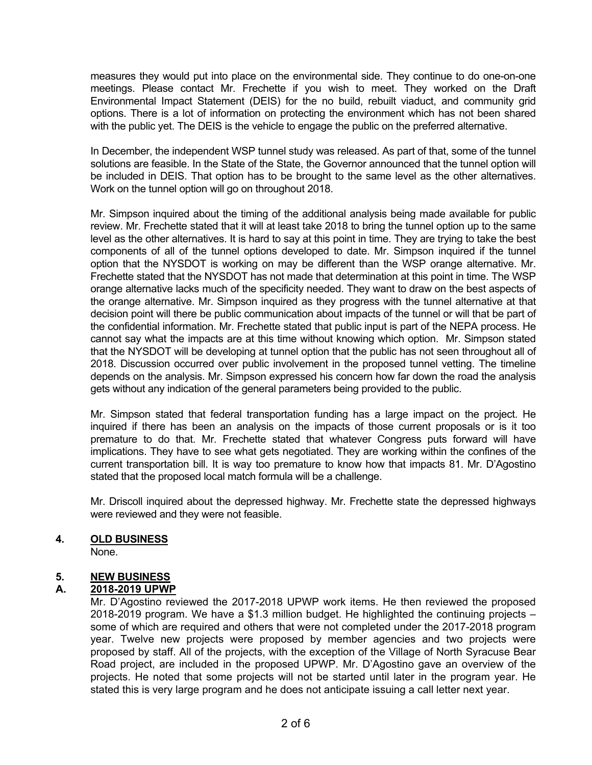measures they would put into place on the environmental side. They continue to do one-on-one meetings. Please contact Mr. Frechette if you wish to meet. They worked on the Draft Environmental Impact Statement (DEIS) for the no build, rebuilt viaduct, and community grid options. There is a lot of information on protecting the environment which has not been shared with the public yet. The DEIS is the vehicle to engage the public on the preferred alternative.

In December, the independent WSP tunnel study was released. As part of that, some of the tunnel solutions are feasible. In the State of the State, the Governor announced that the tunnel option will be included in DEIS. That option has to be brought to the same level as the other alternatives. Work on the tunnel option will go on throughout 2018.

Mr. Simpson inquired about the timing of the additional analysis being made available for public review. Mr. Frechette stated that it will at least take 2018 to bring the tunnel option up to the same level as the other alternatives. It is hard to say at this point in time. They are trying to take the best components of all of the tunnel options developed to date. Mr. Simpson inquired if the tunnel option that the NYSDOT is working on may be different than the WSP orange alternative. Mr. Frechette stated that the NYSDOT has not made that determination at this point in time. The WSP orange alternative lacks much of the specificity needed. They want to draw on the best aspects of the orange alternative. Mr. Simpson inquired as they progress with the tunnel alternative at that decision point will there be public communication about impacts of the tunnel or will that be part of the confidential information. Mr. Frechette stated that public input is part of the NEPA process. He cannot say what the impacts are at this time without knowing which option. Mr. Simpson stated that the NYSDOT will be developing at tunnel option that the public has not seen throughout all of 2018. Discussion occurred over public involvement in the proposed tunnel vetting. The timeline depends on the analysis. Mr. Simpson expressed his concern how far down the road the analysis gets without any indication of the general parameters being provided to the public.

Mr. Simpson stated that federal transportation funding has a large impact on the project. He inquired if there has been an analysis on the impacts of those current proposals or is it too premature to do that. Mr. Frechette stated that whatever Congress puts forward will have implications. They have to see what gets negotiated. They are working within the confines of the current transportation bill. It is way too premature to know how that impacts 81. Mr. D'Agostino stated that the proposed local match formula will be a challenge.

Mr. Driscoll inquired about the depressed highway. Mr. Frechette state the depressed highways were reviewed and they were not feasible.

## **4. OLD BUSINESS**

None.

# **5. NEW BUSINESS**

## **A. 2018-2019 UPWP**

Mr. D'Agostino reviewed the 2017-2018 UPWP work items. He then reviewed the proposed 2018-2019 program. We have a \$1.3 million budget. He highlighted the continuing projects – some of which are required and others that were not completed under the 2017-2018 program year. Twelve new projects were proposed by member agencies and two projects were proposed by staff. All of the projects, with the exception of the Village of North Syracuse Bear Road project, are included in the proposed UPWP. Mr. D'Agostino gave an overview of the projects. He noted that some projects will not be started until later in the program year. He stated this is very large program and he does not anticipate issuing a call letter next year.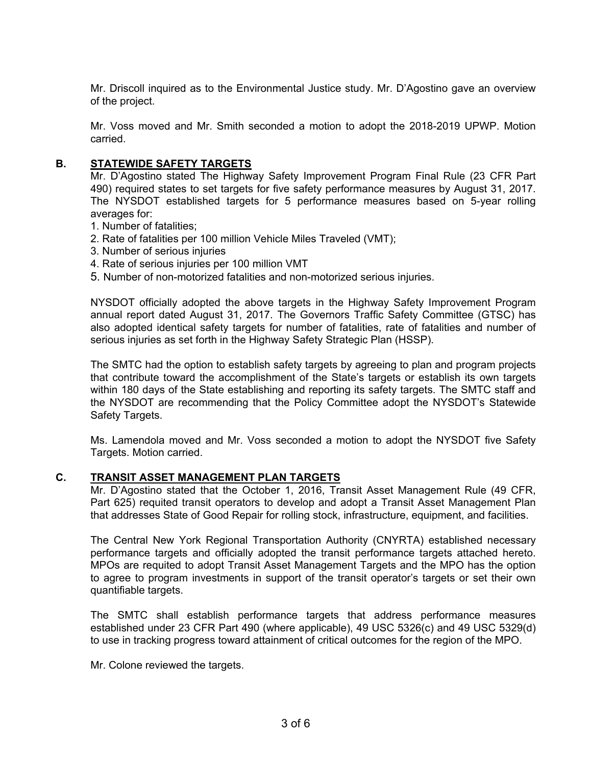Mr. Driscoll inquired as to the Environmental Justice study. Mr. D'Agostino gave an overview of the project.

Mr. Voss moved and Mr. Smith seconded a motion to adopt the 2018-2019 UPWP. Motion carried.

## **B. STATEWIDE SAFETY TARGETS**

Mr. D'Agostino stated The Highway Safety Improvement Program Final Rule (23 CFR Part 490) required states to set targets for five safety performance measures by August 31, 2017. The NYSDOT established targets for 5 performance measures based on 5-year rolling averages for:

- 1. Number of fatalities;
- 2. Rate of fatalities per 100 million Vehicle Miles Traveled (VMT);
- 3. Number of serious injuries
- 4. Rate of serious injuries per 100 million VMT
- 5. Number of non-motorized fatalities and non-motorized serious injuries.

NYSDOT officially adopted the above targets in the Highway Safety Improvement Program annual report dated August 31, 2017. The Governors Traffic Safety Committee (GTSC) has also adopted identical safety targets for number of fatalities, rate of fatalities and number of serious injuries as set forth in the Highway Safety Strategic Plan (HSSP).

The SMTC had the option to establish safety targets by agreeing to plan and program projects that contribute toward the accomplishment of the State's targets or establish its own targets within 180 days of the State establishing and reporting its safety targets. The SMTC staff and the NYSDOT are recommending that the Policy Committee adopt the NYSDOT's Statewide Safety Targets.

Ms. Lamendola moved and Mr. Voss seconded a motion to adopt the NYSDOT five Safety Targets. Motion carried.

### **C. TRANSIT ASSET MANAGEMENT PLAN TARGETS**

Mr. D'Agostino stated that the October 1, 2016, Transit Asset Management Rule (49 CFR, Part 625) requited transit operators to develop and adopt a Transit Asset Management Plan that addresses State of Good Repair for rolling stock, infrastructure, equipment, and facilities.

The Central New York Regional Transportation Authority (CNYRTA) established necessary performance targets and officially adopted the transit performance targets attached hereto. MPOs are requited to adopt Transit Asset Management Targets and the MPO has the option to agree to program investments in support of the transit operator's targets or set their own quantifiable targets.

The SMTC shall establish performance targets that address performance measures established under 23 CFR Part 490 (where applicable), 49 USC 5326(c) and 49 USC 5329(d) to use in tracking progress toward attainment of critical outcomes for the region of the MPO.

Mr. Colone reviewed the targets.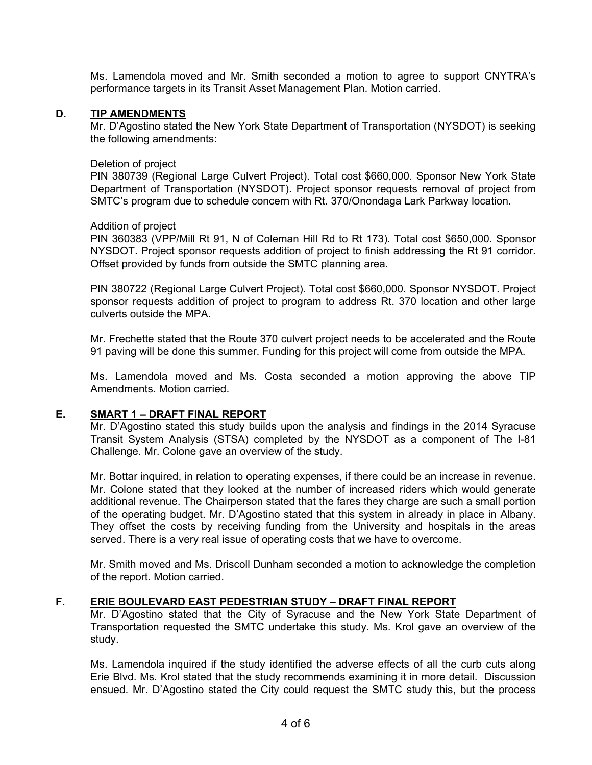Ms. Lamendola moved and Mr. Smith seconded a motion to agree to support CNYTRA's performance targets in its Transit Asset Management Plan. Motion carried.

## **D. TIP AMENDMENTS**

Mr. D'Agostino stated the New York State Department of Transportation (NYSDOT) is seeking the following amendments:

### Deletion of project

PIN 380739 (Regional Large Culvert Project). Total cost \$660,000. Sponsor New York State Department of Transportation (NYSDOT). Project sponsor requests removal of project from SMTC's program due to schedule concern with Rt. 370/Onondaga Lark Parkway location.

## Addition of project

PIN 360383 (VPP/Mill Rt 91, N of Coleman Hill Rd to Rt 173). Total cost \$650,000. Sponsor NYSDOT. Project sponsor requests addition of project to finish addressing the Rt 91 corridor. Offset provided by funds from outside the SMTC planning area.

PIN 380722 (Regional Large Culvert Project). Total cost \$660,000. Sponsor NYSDOT. Project sponsor requests addition of project to program to address Rt. 370 location and other large culverts outside the MPA.

Mr. Frechette stated that the Route 370 culvert project needs to be accelerated and the Route 91 paving will be done this summer. Funding for this project will come from outside the MPA.

Ms. Lamendola moved and Ms. Costa seconded a motion approving the above TIP Amendments. Motion carried.

# **E. SMART 1 – DRAFT FINAL REPORT**

Mr. D'Agostino stated this study builds upon the analysis and findings in the 2014 Syracuse Transit System Analysis (STSA) completed by the NYSDOT as a component of The I-81 Challenge. Mr. Colone gave an overview of the study.

Mr. Bottar inquired, in relation to operating expenses, if there could be an increase in revenue. Mr. Colone stated that they looked at the number of increased riders which would generate additional revenue. The Chairperson stated that the fares they charge are such a small portion of the operating budget. Mr. D'Agostino stated that this system in already in place in Albany. They offset the costs by receiving funding from the University and hospitals in the areas served. There is a very real issue of operating costs that we have to overcome.

Mr. Smith moved and Ms. Driscoll Dunham seconded a motion to acknowledge the completion of the report. Motion carried.

# **F. ERIE BOULEVARD EAST PEDESTRIAN STUDY – DRAFT FINAL REPORT**

Mr. D'Agostino stated that the City of Syracuse and the New York State Department of Transportation requested the SMTC undertake this study. Ms. Krol gave an overview of the study.

Ms. Lamendola inquired if the study identified the adverse effects of all the curb cuts along Erie Blvd. Ms. Krol stated that the study recommends examining it in more detail. Discussion ensued. Mr. D'Agostino stated the City could request the SMTC study this, but the process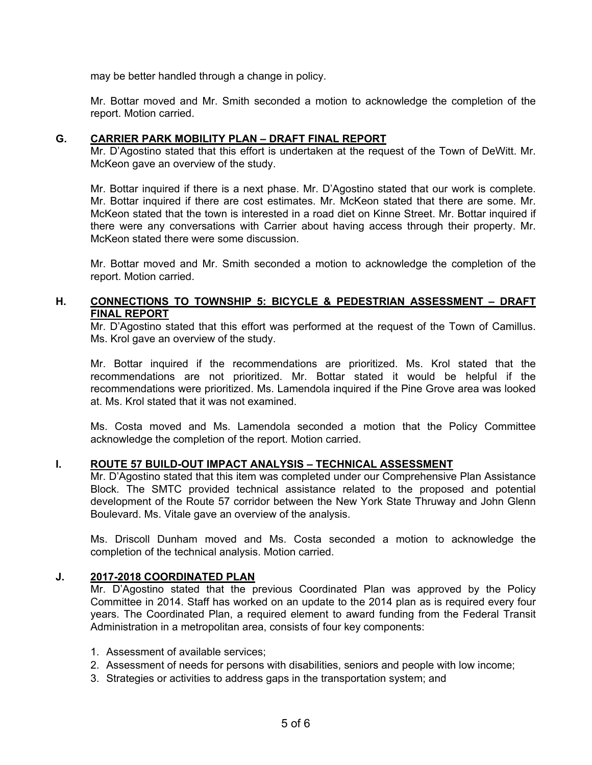may be better handled through a change in policy.

Mr. Bottar moved and Mr. Smith seconded a motion to acknowledge the completion of the report. Motion carried.

## **G. CARRIER PARK MOBILITY PLAN – DRAFT FINAL REPORT**

Mr. D'Agostino stated that this effort is undertaken at the request of the Town of DeWitt. Mr. McKeon gave an overview of the study.

Mr. Bottar inquired if there is a next phase. Mr. D'Agostino stated that our work is complete. Mr. Bottar inquired if there are cost estimates. Mr. McKeon stated that there are some. Mr. McKeon stated that the town is interested in a road diet on Kinne Street. Mr. Bottar inquired if there were any conversations with Carrier about having access through their property. Mr. McKeon stated there were some discussion.

Mr. Bottar moved and Mr. Smith seconded a motion to acknowledge the completion of the report. Motion carried.

## **H. CONNECTIONS TO TOWNSHIP 5: BICYCLE & PEDESTRIAN ASSESSMENT – DRAFT FINAL REPORT**

Mr. D'Agostino stated that this effort was performed at the request of the Town of Camillus. Ms. Krol gave an overview of the study.

Mr. Bottar inquired if the recommendations are prioritized. Ms. Krol stated that the recommendations are not prioritized. Mr. Bottar stated it would be helpful if the recommendations were prioritized. Ms. Lamendola inquired if the Pine Grove area was looked at. Ms. Krol stated that it was not examined.

Ms. Costa moved and Ms. Lamendola seconded a motion that the Policy Committee acknowledge the completion of the report. Motion carried.

## **I. ROUTE 57 BUILD-OUT IMPACT ANALYSIS – TECHNICAL ASSESSMENT**

Mr. D'Agostino stated that this item was completed under our Comprehensive Plan Assistance Block. The SMTC provided technical assistance related to the proposed and potential development of the Route 57 corridor between the New York State Thruway and John Glenn Boulevard. Ms. Vitale gave an overview of the analysis.

Ms. Driscoll Dunham moved and Ms. Costa seconded a motion to acknowledge the completion of the technical analysis. Motion carried.

## **J. 2017-2018 COORDINATED PLAN**

Mr. D'Agostino stated that the previous Coordinated Plan was approved by the Policy Committee in 2014. Staff has worked on an update to the 2014 plan as is required every four years. The Coordinated Plan, a required element to award funding from the Federal Transit Administration in a metropolitan area, consists of four key components:

- 1. Assessment of available services;
- 2. Assessment of needs for persons with disabilities, seniors and people with low income;
- 3. Strategies or activities to address gaps in the transportation system; and